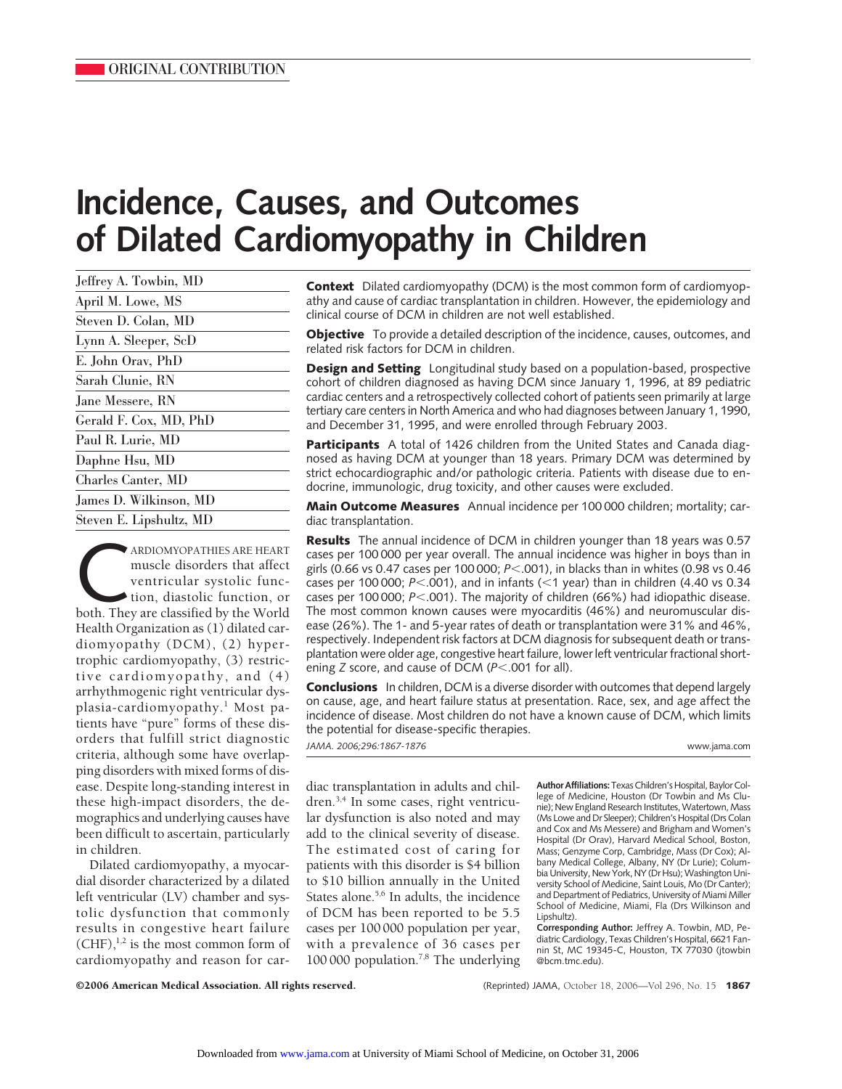# **Incidence, Causes, and Outcomes of Dilated Cardiomyopathy in Children**

| Jeffrey A. Towbin, MD   |
|-------------------------|
| April M. Lowe, MS       |
| Steven D. Colan, MD     |
| Lynn A. Sleeper, ScD    |
| E. John Orav, PhD       |
| Sarah Clunie, RN        |
| Jane Messere, RN        |
| Gerald F. Cox, MD, PhD  |
| Paul R. Lurie, MD       |
| Daphne Hsu, MD          |
| Charles Canter, MD      |
| James D. Wilkinson, MD  |
| Steven E. Lipshultz, MD |

ARDIOMYOPATHIES ARE HEART<br>
muscle disorders that affect<br>
ventricular systolic func-<br>
tion, diastolic function, or<br>
both. They are classified by the World muscle disorders that affect ventricular systolic function, diastolic function, or Health Organization as (1) dilated cardiomyopathy (DCM), (2) hypertrophic cardiomyopathy, (3) restrictive cardiomyopathy, and (4) arrhythmogenic right ventricular dysplasia-cardiomyopathy.1 Most patients have "pure" forms of these disorders that fulfill strict diagnostic criteria, although some have overlapping disorders with mixed forms of disease. Despite long-standing interest in these high-impact disorders, the demographics and underlying causes have been difficult to ascertain, particularly in children.

Dilated cardiomyopathy, a myocardial disorder characterized by a dilated left ventricular (LV) chamber and systolic dysfunction that commonly results in congestive heart failure  $(CHF),<sup>1,2</sup>$  is the most common form of cardiomyopathy and reason for car**Context** Dilated cardiomyopathy (DCM) is the most common form of cardiomyopathy and cause of cardiac transplantation in children. However, the epidemiology and clinical course of DCM in children are not well established.

**Objective** To provide a detailed description of the incidence, causes, outcomes, and related risk factors for DCM in children.

**Design and Setting** Longitudinal study based on a population-based, prospective cohort of children diagnosed as having DCM since January 1, 1996, at 89 pediatric cardiac centers and a retrospectively collected cohort of patients seen primarily at large tertiary care centers in North America and who had diagnoses between January 1, 1990, and December 31, 1995, and were enrolled through February 2003.

**Participants** A total of 1426 children from the United States and Canada diagnosed as having DCM at younger than 18 years. Primary DCM was determined by strict echocardiographic and/or pathologic criteria. Patients with disease due to endocrine, immunologic, drug toxicity, and other causes were excluded.

**Main Outcome Measures** Annual incidence per 100 000 children; mortality; cardiac transplantation.

**Results** The annual incidence of DCM in children younger than 18 years was 0.57 cases per 100 000 per year overall. The annual incidence was higher in boys than in girls (0.66 vs 0.47 cases per 100 000;  $P < .001$ ), in blacks than in whites (0.98 vs 0.46 cases per 100 000; *P*<.001), and in infants (<1 year) than in children (4.40 vs 0.34 cases per 100 000; *P*<.001). The majority of children (66%) had idiopathic disease. The most common known causes were myocarditis (46%) and neuromuscular disease (26%). The 1- and 5-year rates of death or transplantation were 31% and 46%, respectively. Independent risk factors at DCM diagnosis for subsequent death or transplantation were older age, congestive heart failure, lower left ventricular fractional shortening *Z* score, and cause of DCM (*P*<.001 for all).

**Conclusions** In children, DCM is a diverse disorder with outcomes that depend largely on cause, age, and heart failure status at presentation. Race, sex, and age affect the incidence of disease. Most children do not have a known cause of DCM, which limits the potential for disease-specific therapies. *JAMA. 2006;296:1867-1876* www.jama.com

diac transplantation in adults and children.<sup>3,4</sup> In some cases, right ventricular dysfunction is also noted and may add to the clinical severity of disease. The estimated cost of caring for patients with this disorder is \$4 billion to \$10 billion annually in the United States alone.<sup>5,6</sup> In adults, the incidence of DCM has been reported to be 5.5 cases per 100 000 population per year, with a prevalence of 36 cases per 100 000 population.7,8 The underlying

**Author Affiliations:** Texas Children's Hospital, Baylor College of Medicine, Houston (Dr Towbin and Ms Clunie); New England Research Institutes, Watertown, Mass (Ms Lowe and Dr Sleeper); Children's Hospital (Drs Colan and Cox and Ms Messere) and Brigham and Women's Hospital (Dr Orav), Harvard Medical School, Boston, Mass; Genzyme Corp, Cambridge, Mass (Dr Cox); Albany Medical College, Albany, NY (Dr Lurie); Columbia University, New York, NY (Dr Hsu); Washington University School of Medicine, Saint Louis, Mo (Dr Canter); and Department of Pediatrics, University of Miami Miller School of Medicine, Miami, Fla (Drs Wilkinson and Lipshultz).

**Corresponding Author:** Jeffrey A. Towbin, MD, Pediatric Cardiology, Texas Children's Hospital, 6621 Fannin St, MC 19345-C, Houston, TX 77030 (jtowbin @bcm.tmc.edu).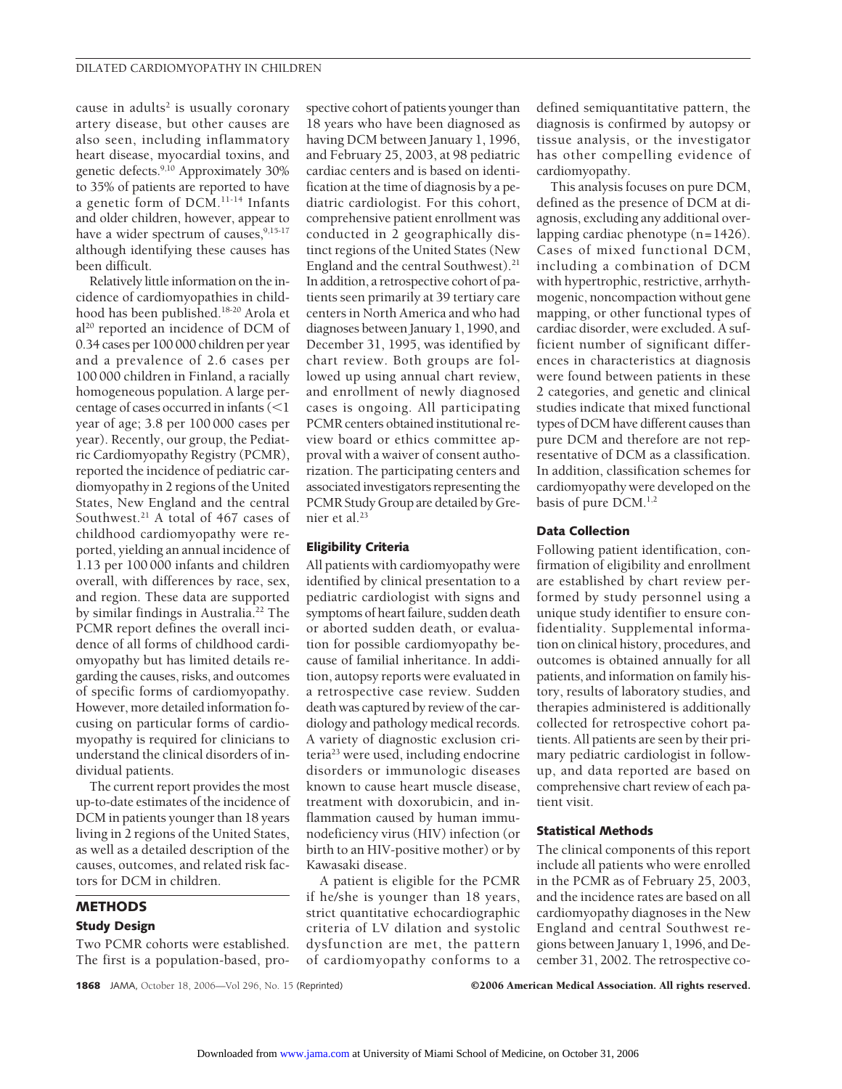cause in adults<sup>2</sup> is usually coronary artery disease, but other causes are also seen, including inflammatory heart disease, myocardial toxins, and genetic defects.9,10 Approximately 30% to 35% of patients are reported to have a genetic form of DCM.11-14 Infants and older children, however, appear to have a wider spectrum of causes,  $9,15-17$ although identifying these causes has been difficult.

Relatively little information on the incidence of cardiomyopathies in childhood has been published.18-20 Arola et al20 reported an incidence of DCM of 0.34 cases per 100 000 children per year and a prevalence of 2.6 cases per 100 000 children in Finland, a racially homogeneous population. A large percentage of cases occurred in infants  $(<$ 1 year of age; 3.8 per 100 000 cases per year). Recently, our group, the Pediatric Cardiomyopathy Registry (PCMR), reported the incidence of pediatric cardiomyopathy in 2 regions of the United States, New England and the central Southwest.<sup>21</sup> A total of 467 cases of childhood cardiomyopathy were reported, yielding an annual incidence of 1.13 per 100 000 infants and children overall, with differences by race, sex, and region. These data are supported by similar findings in Australia.<sup>22</sup> The PCMR report defines the overall incidence of all forms of childhood cardiomyopathy but has limited details regarding the causes, risks, and outcomes of specific forms of cardiomyopathy. However, more detailed information focusing on particular forms of cardiomyopathy is required for clinicians to understand the clinical disorders of individual patients.

The current report provides the most up-to-date estimates of the incidence of DCM in patients younger than 18 years living in 2 regions of the United States, as well as a detailed description of the causes, outcomes, and related risk factors for DCM in children.

## **METHODS**

## **Study Design**

Two PCMR cohorts were established. The first is a population-based, prospective cohort of patients younger than 18 years who have been diagnosed as having DCM between January 1, 1996, and February 25, 2003, at 98 pediatric cardiac centers and is based on identification at the time of diagnosis by a pediatric cardiologist. For this cohort, comprehensive patient enrollment was conducted in 2 geographically distinct regions of the United States (New England and the central Southwest).<sup>21</sup> In addition, a retrospective cohort of patients seen primarily at 39 tertiary care centers in North America and who had diagnoses between January 1, 1990, and December 31, 1995, was identified by chart review. Both groups are followed up using annual chart review, and enrollment of newly diagnosed cases is ongoing. All participating PCMR centers obtained institutional review board or ethics committee approval with a waiver of consent authorization. The participating centers and associated investigators representing the PCMR Study Group are detailed by Grenier et al.<sup>23</sup>

#### **Eligibility Criteria**

All patients with cardiomyopathy were identified by clinical presentation to a pediatric cardiologist with signs and symptoms of heart failure, sudden death or aborted sudden death, or evaluation for possible cardiomyopathy because of familial inheritance. In addition, autopsy reports were evaluated in a retrospective case review. Sudden death was captured by review of the cardiology and pathology medical records. A variety of diagnostic exclusion criteria<sup>23</sup> were used, including endocrine disorders or immunologic diseases known to cause heart muscle disease, treatment with doxorubicin, and inflammation caused by human immunodeficiency virus (HIV) infection (or birth to an HIV-positive mother) or by Kawasaki disease.

A patient is eligible for the PCMR if he/she is younger than 18 years, strict quantitative echocardiographic criteria of LV dilation and systolic dysfunction are met, the pattern of cardiomyopathy conforms to a

defined semiquantitative pattern, the diagnosis is confirmed by autopsy or tissue analysis, or the investigator has other compelling evidence of cardiomyopathy.

This analysis focuses on pure DCM, defined as the presence of DCM at diagnosis, excluding any additional overlapping cardiac phenotype  $(n=1426)$ . Cases of mixed functional DCM, including a combination of DCM with hypertrophic, restrictive, arrhythmogenic, noncompaction without gene mapping, or other functional types of cardiac disorder, were excluded. A sufficient number of significant differences in characteristics at diagnosis were found between patients in these 2 categories, and genetic and clinical studies indicate that mixed functional types of DCM have different causes than pure DCM and therefore are not representative of DCM as a classification. In addition, classification schemes for cardiomyopathy were developed on the basis of pure DCM.1,2

#### **Data Collection**

Following patient identification, confirmation of eligibility and enrollment are established by chart review performed by study personnel using a unique study identifier to ensure confidentiality. Supplemental information on clinical history, procedures, and outcomes is obtained annually for all patients, and information on family history, results of laboratory studies, and therapies administered is additionally collected for retrospective cohort patients. All patients are seen by their primary pediatric cardiologist in followup, and data reported are based on comprehensive chart review of each patient visit.

#### **Statistical Methods**

The clinical components of this report include all patients who were enrolled in the PCMR as of February 25, 2003, and the incidence rates are based on all cardiomyopathy diagnoses in the New England and central Southwest regions between January 1, 1996, and December 31, 2002. The retrospective co-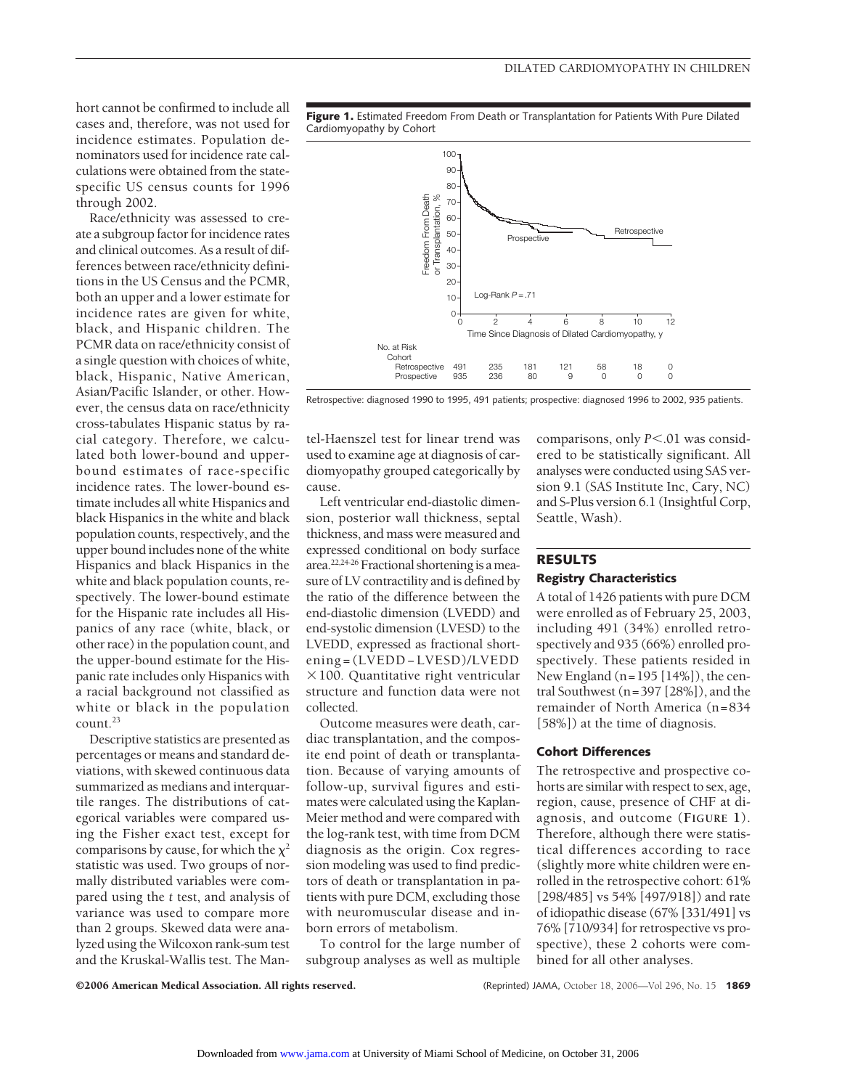hort cannot be confirmed to include all cases and, therefore, was not used for incidence estimates. Population denominators used for incidence rate calculations were obtained from the statespecific US census counts for 1996 through 2002.

Race/ethnicity was assessed to create a subgroup factor for incidence rates and clinical outcomes. As a result of differences between race/ethnicity definitions in the US Census and the PCMR, both an upper and a lower estimate for incidence rates are given for white, black, and Hispanic children. The PCMR data on race/ethnicity consist of a single question with choices of white, black, Hispanic, Native American, Asian/Pacific Islander, or other. However, the census data on race/ethnicity cross-tabulates Hispanic status by racial category. Therefore, we calculated both lower-bound and upperbound estimates of race-specific incidence rates. The lower-bound estimate includes all white Hispanics and black Hispanics in the white and black population counts, respectively, and the upper bound includes none of the white Hispanics and black Hispanics in the white and black population counts, respectively. The lower-bound estimate for the Hispanic rate includes all Hispanics of any race (white, black, or other race) in the population count, and the upper-bound estimate for the Hispanic rate includes only Hispanics with a racial background not classified as white or black in the population count.23

Descriptive statistics are presented as percentages or means and standard deviations, with skewed continuous data summarized as medians and interquartile ranges. The distributions of categorical variables were compared using the Fisher exact test, except for comparisons by cause, for which the  $\chi^2$ statistic was used. Two groups of normally distributed variables were compared using the *t* test, and analysis of variance was used to compare more than 2 groups. Skewed data were analyzed using the Wilcoxon rank-sum test and the Kruskal-Wallis test. The Man-





Retrospective: diagnosed 1990 to 1995, 491 patients; prospective: diagnosed 1996 to 2002, 935 patients.

tel-Haenszel test for linear trend was used to examine age at diagnosis of cardiomyopathy grouped categorically by cause.

Left ventricular end-diastolic dimension, posterior wall thickness, septal thickness, and mass were measured and expressed conditional on body surface area.<sup>22,24-26</sup> Fractional shortening is a measure of LV contractility and is defined by the ratio of the difference between the end-diastolic dimension (LVEDD) and end-systolic dimension (LVESD) to the LVEDD, expressed as fractional shortening=(LVEDD−LVESD)/LVEDD  $\times$ 100. Quantitative right ventricular structure and function data were not collected.

Outcome measures were death, cardiac transplantation, and the composite end point of death or transplantation. Because of varying amounts of follow-up, survival figures and estimates were calculated using the Kaplan-Meier method and were compared with the log-rank test, with time from DCM diagnosis as the origin. Cox regression modeling was used to find predictors of death or transplantation in patients with pure DCM, excluding those with neuromuscular disease and inborn errors of metabolism.

To control for the large number of subgroup analyses as well as multiple

comparisons, only *P*<.01 was considered to be statistically significant. All analyses were conducted using SAS version 9.1 (SAS Institute Inc, Cary, NC) and S-Plus version 6.1 (Insightful Corp, Seattle, Wash).

## **RESULTS**

#### **Registry Characteristics**

A total of 1426 patients with pure DCM were enrolled as of February 25, 2003, including 491 (34%) enrolled retrospectively and 935 (66%) enrolled prospectively. These patients resided in New England  $(n=195 [14\%])$ , the central Southwest (n=397 [28%]), and the remainder of North America (n=834 [58%]) at the time of diagnosis.

#### **Cohort Differences**

The retrospective and prospective cohorts are similar with respect to sex, age, region, cause, presence of CHF at diagnosis, and outcome (**FIGURE 1**). Therefore, although there were statistical differences according to race (slightly more white children were enrolled in the retrospective cohort: 61% [298/485] vs 54% [497/918]) and rate of idiopathic disease (67% [331/491] vs 76% [710/934] for retrospective vs prospective), these 2 cohorts were combined for all other analyses.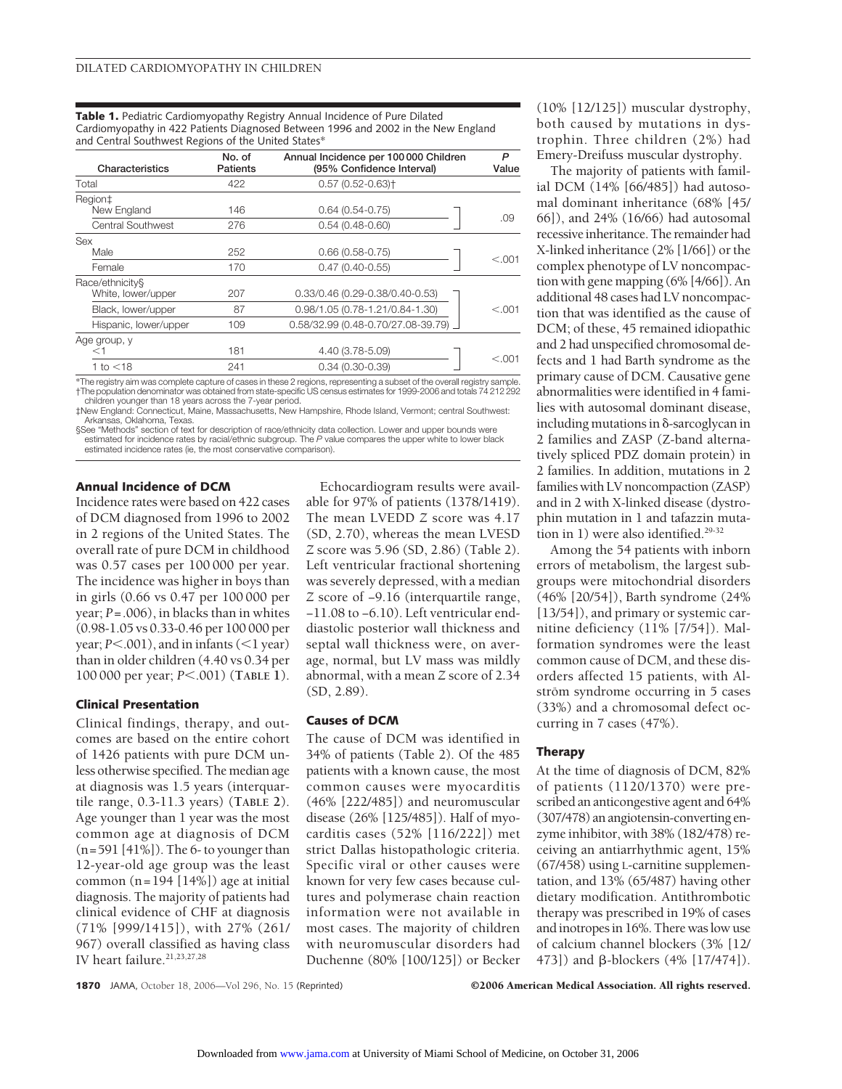**Table 1.** Pediatric Cardiomyopathy Registry Annual Incidence of Pure Dilated Cardiomyopathy in 422 Patients Diagnosed Between 1996 and 2002 in the New England and Central Southwest Regions of the United States\*

| Characteristics          | No. of<br>Patients | Annual Incidence per 100 000 Children<br>(95% Confidence Interval) | P<br>Value |
|--------------------------|--------------------|--------------------------------------------------------------------|------------|
| Total                    | 422                | $0.57(0.52 - 0.63)$                                                |            |
| Region‡                  |                    |                                                                    |            |
| New England              | 146                | $0.64(0.54 - 0.75)$                                                | .09        |
| <b>Central Southwest</b> | 276                | $0.54(0.48-0.60)$                                                  |            |
| Sex                      |                    |                                                                    |            |
| Male                     | 252                | $0.66(0.58-0.75)$                                                  | < 0.01     |
| Female                   | 170                | $0.47(0.40-0.55)$                                                  |            |
| Race/ethnicity§          |                    |                                                                    |            |
| White, lower/upper       | 207                | 0.33/0.46 (0.29-0.38/0.40-0.53)                                    |            |
| Black, lower/upper       | 87                 | 0.98/1.05 (0.78-1.21/0.84-1.30)                                    | < 0.01     |
| Hispanic, lower/upper    | 109                | $0.58/32.99$ (0.48-0.70/27.08-39.79) $\Box$                        |            |
| Age group, y             |                    |                                                                    |            |
| $<$ 1                    | 181                | 4.40 (3.78-5.09)                                                   | < 0.01     |
| 1 to $<$ 18              | 241                | $0.34(0.30 - 0.39)$                                                |            |

\*The registry aim was complete capture of cases in these 2 regions, representing a subset of the overall registry sample. †The population denominator was obtained from state-specific US census estimates for 1999-2006 and totals 74 212 292

children younger than 18 years across the 7-year period. ‡New England: Connecticut, Maine, Massachusetts, New Hampshire, Rhode Island, Vermont; central Southwest: Arkansas, Oklahoma, Texas.

SSee "Methods" section of text for description of race/ethnicity data collection. Lower and upper bounds were<br>estimated for incidence rates by racial/ethnic subgroup. The P value compares the upper white to lower black estimated incidence rates (ie, the most conservative comparison).

#### **Annual Incidence of DCM**

Incidence rates were based on 422 cases of DCM diagnosed from 1996 to 2002 in 2 regions of the United States. The overall rate of pure DCM in childhood was 0.57 cases per 100 000 per year. The incidence was higher in boys than in girls (0.66 vs 0.47 per 100 000 per year; *P*=.006), in blacks than in whites (0.98-1.05 vs 0.33-0.46 per 100 000 per year; *P*.001), and in infants (1 year) than in older children (4.40 vs 0.34 per 100 000 per year; *P*.001) (**TABLE 1**).

#### **Clinical Presentation**

Clinical findings, therapy, and outcomes are based on the entire cohort of 1426 patients with pure DCM unless otherwise specified. The median age at diagnosis was 1.5 years (interquartile range, 0.3-11.3 years) (**TABLE 2**). Age younger than 1 year was the most common age at diagnosis of DCM  $(n=591 \; [41\%])$ . The 6- to younger than 12-year-old age group was the least common (n=194 [14%]) age at initial diagnosis. The majority of patients had clinical evidence of CHF at diagnosis (71% [999/1415]), with 27% (261/ 967) overall classified as having class IV heart failure.<sup>21,23,27,28</sup>

Echocardiogram results were available for 97% of patients (1378/1419). The mean LVEDD *Z* score was 4.17 (SD, 2.70), whereas the mean LVESD *Z* score was 5.96 (SD, 2.86) (Table 2). Left ventricular fractional shortening was severely depressed, with a median *Z* score of −9.16 (interquartile range, −11.08 to −6.10). Left ventricular enddiastolic posterior wall thickness and septal wall thickness were, on average, normal, but LV mass was mildly abnormal, with a mean *Z* score of 2.34 (SD, 2.89).

#### **Causes of DCM**

The cause of DCM was identified in 34% of patients (Table 2). Of the 485 patients with a known cause, the most common causes were myocarditis (46% [222/485]) and neuromuscular disease (26% [125/485]). Half of myocarditis cases (52% [116/222]) met strict Dallas histopathologic criteria. Specific viral or other causes were known for very few cases because cultures and polymerase chain reaction information were not available in most cases. The majority of children with neuromuscular disorders had Duchenne (80% [100/125]) or Becker

(10% [12/125]) muscular dystrophy, both caused by mutations in dystrophin. Three children (2%) had Emery-Dreifuss muscular dystrophy.

The majority of patients with familial DCM (14% [66/485]) had autosomal dominant inheritance (68% [45/ 66]), and 24% (16/66) had autosomal recessive inheritance. The remainder had X-linked inheritance (2% [1/66]) or the complex phenotype of LV noncompaction with gene mapping (6% [4/66]). An additional 48 cases had LV noncompaction that was identified as the cause of DCM; of these, 45 remained idiopathic and 2 had unspecified chromosomal defects and 1 had Barth syndrome as the primary cause of DCM. Causative gene abnormalities were identified in 4 families with autosomal dominant disease, including mutations in  $\delta$ -sarcoglycan in 2 families and ZASP (Z-band alternatively spliced PDZ domain protein) in 2 families. In addition, mutations in 2 families with LV noncompaction (ZASP) and in 2 with X-linked disease (dystrophin mutation in 1 and tafazzin mutation in 1) were also identified.<sup>29-32</sup>

Among the 54 patients with inborn errors of metabolism, the largest subgroups were mitochondrial disorders (46% [20/54]), Barth syndrome (24% [13/54]), and primary or systemic carnitine deficiency (11% [7/54]). Malformation syndromes were the least common cause of DCM, and these disorders affected 15 patients, with Alström syndrome occurring in 5 cases (33%) and a chromosomal defect occurring in 7 cases (47%).

#### **Therapy**

At the time of diagnosis of DCM, 82% of patients (1120/1370) were prescribed an anticongestive agent and 64% (307/478) an angiotensin-converting enzyme inhibitor, with 38% (182/478) receiving an antiarrhythmic agent, 15% (67/458) using L-carnitine supplementation, and 13% (65/487) having other dietary modification. Antithrombotic therapy was prescribed in 19% of cases and inotropes in 16%. There was low use of calcium channel blockers (3% [12/ 473]) and  $\beta$ -blockers (4% [17/474]).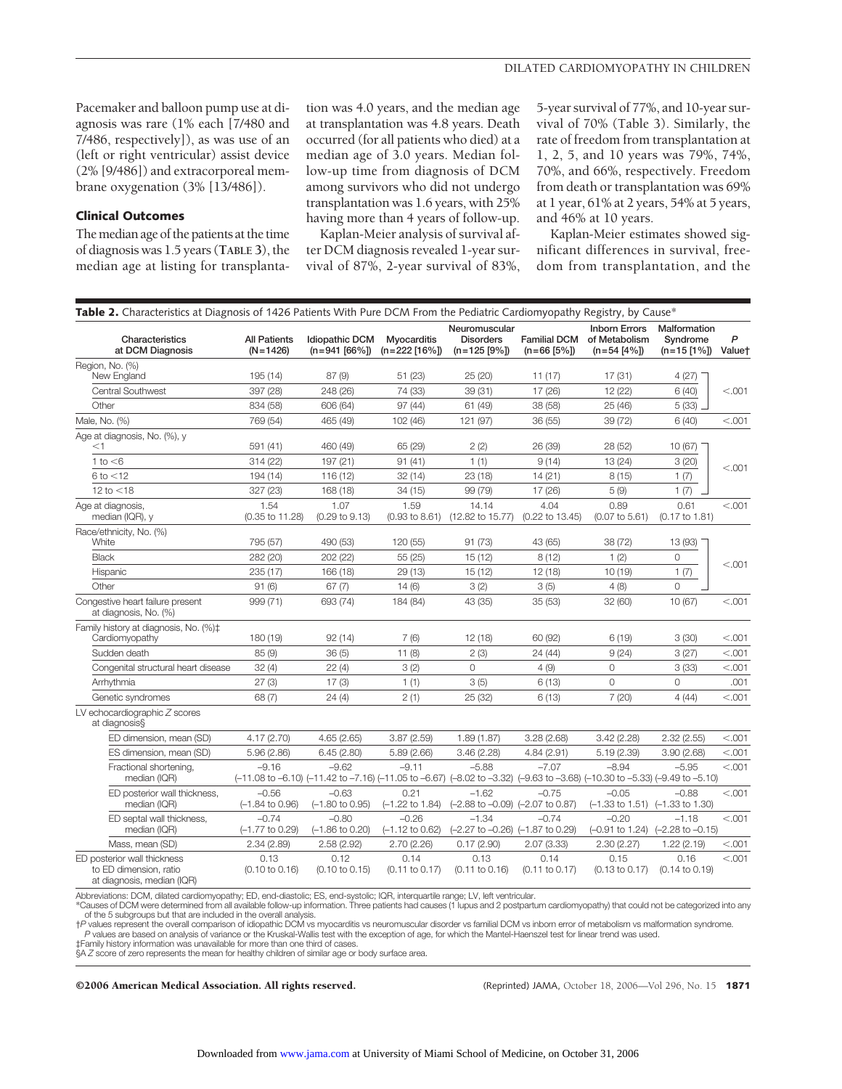Pacemaker and balloon pump use at diagnosis was rare (1% each [7/480 and 7/486, respectively]), as was use of an (left or right ventricular) assist device (2% [9/486]) and extracorporeal membrane oxygenation (3% [13/486]).

#### **Clinical Outcomes**

The median age of the patients at the time of diagnosis was 1.5 years (**TABLE 3**), the median age at listing for transplantation was 4.0 years, and the median age at transplantation was 4.8 years. Death occurred (for all patients who died) at a median age of 3.0 years. Median follow-up time from diagnosis of DCM among survivors who did not undergo transplantation was 1.6 years, with 25% having more than 4 years of follow-up.

Kaplan-Meier analysis of survival after DCM diagnosis revealed 1-year survival of 87%, 2-year survival of 83%,

5-year survival of 77%, and 10-year survival of 70% (Table 3). Similarly, the rate of freedom from transplantation at 1, 2, 5, and 10 years was 79%, 74%, 70%, and 66%, respectively. Freedom from death or transplantation was 69% at 1 year, 61% at 2 years, 54% at 5 years, and 46% at 10 years.

Kaplan-Meier estimates showed significant differences in survival, freedom from transplantation, and the

| Table 2. Characteristics at Diagnosis of 1426 Patients With Pure DCM From the Pediatric Cardiomyopathy Registry, by Cause* |                                                                                                                                                                   |                                           |                                        |                                                     |                                       |                                                                  |                                                                   |             |
|----------------------------------------------------------------------------------------------------------------------------|-------------------------------------------------------------------------------------------------------------------------------------------------------------------|-------------------------------------------|----------------------------------------|-----------------------------------------------------|---------------------------------------|------------------------------------------------------------------|-------------------------------------------------------------------|-------------|
| Characteristics<br>at DCM Diagnosis                                                                                        | <b>All Patients</b><br>$(N=1426)$                                                                                                                                 | <b>Idiopathic DCM</b><br>$(n=941 [66\%])$ | <b>Myocarditis</b><br>$(n=222 [16\%])$ | Neuromuscular<br><b>Disorders</b><br>$(n=125 [9%])$ | <b>Familial DCM</b><br>$(n=66 [5\%])$ | <b>Inborn Errors</b><br>of Metabolism<br>$(n=54 [4\%])$          | <b>Malformation</b><br>Syndrome<br>$(n=15 [1\%])$                 | P<br>Valuet |
| Region, No. (%)<br>New England                                                                                             | 195 (14)                                                                                                                                                          | 87(9)                                     | 51 (23)                                | 25 (20)                                             | 11(17)                                | 17(31)                                                           | 4(27)                                                             |             |
| <b>Central Southwest</b>                                                                                                   | 397 (28)                                                                                                                                                          | 248 (26)                                  | 74 (33)                                | 39 (31)                                             | 17 (26)                               | 12 (22)                                                          | 6(40)                                                             | < 0.001     |
| Other                                                                                                                      | 834 (58)                                                                                                                                                          | 606 (64)                                  | 97 (44)                                | 61 (49)                                             | 38 (58)                               | 25(46)                                                           | $5(33)$ $-$                                                       |             |
| Male, No. (%)                                                                                                              | 769 (54)                                                                                                                                                          | 465 (49)                                  | 102 (46)                               | 121 (97)                                            | 36 (55)                               | 39 (72)                                                          | 6 (40)                                                            | < .001      |
| Age at diagnosis, No. (%), y<br><1                                                                                         | 591 (41)                                                                                                                                                          | 460 (49)                                  | 65 (29)                                | 2(2)                                                | 26 (39)                               | 28 (52)                                                          | 10(67)                                                            |             |
| 1 to $<$ 6                                                                                                                 | 314 (22)                                                                                                                                                          | 197 (21)                                  | 91(41)                                 | 1(1)                                                | 9(14)                                 | 13(24)                                                           | 3(20)                                                             |             |
| $6$ to $<$ 12                                                                                                              | 194 (14)                                                                                                                                                          | 116 (12)                                  | 32(14)                                 | 23 (18)                                             | 14(21)                                | 8(15)                                                            | 1(7)                                                              | < .001      |
| 12 to $<$ 18                                                                                                               | 327 (23)                                                                                                                                                          | 168 (18)                                  | 34(15)                                 | 99 (79)                                             | 17 (26)                               | 5(9)                                                             | 1(7)                                                              |             |
| Age at diagnosis,<br>median (IQR), y                                                                                       | 1.54<br>(0.35 to 11.28)                                                                                                                                           | 1.07<br>$(0.29 \text{ to } 9.13)$         | 1.59<br>$(0.93 \text{ to } 8.61)$      | 14.14<br>(12.82 to 15.77)                           | 4.04<br>(0.22 to 13.45)               | 0.89<br>$(0.07 \text{ to } 5.61)$                                | 0.61<br>$(0.17 \text{ to } 1.81)$                                 | < .001      |
| Race/ethnicity, No. (%)<br>White                                                                                           | 795 (57)                                                                                                                                                          | 490 (53)                                  | 120 (55)                               | 91(73)                                              | 43 (65)                               | 38 (72)                                                          | 13 (93)                                                           |             |
| <b>Black</b>                                                                                                               | 282 (20)                                                                                                                                                          | 202 (22)                                  | 55 (25)                                | 15 (12)                                             | 8(12)                                 | 1(2)                                                             | $\mathsf{O}\xspace$                                               | < .001      |
| Hispanic                                                                                                                   | 235 (17)                                                                                                                                                          | 166 (18)                                  | 29 (13)                                | 15(12)                                              | 12 (18)                               | 10(19)                                                           | 1(7)                                                              |             |
| Other                                                                                                                      | 91(6)                                                                                                                                                             | 67(7)                                     | 14(6)                                  | 3(2)                                                | 3(5)                                  | 4(8)                                                             | $\circ$                                                           |             |
| Congestive heart failure present<br>at diagnosis, No. (%)                                                                  | 999 (71)                                                                                                                                                          | 693 (74)                                  | 184 (84)                               | 43 (35)                                             | 35 (53)                               | 32 (60)                                                          | 10 (67)                                                           | < .001      |
| Family history at diagnosis, No. (%)#<br>Cardiomyopathy                                                                    | 180 (19)                                                                                                                                                          | 92 (14)                                   | 7(6)                                   | 12 (18)                                             | 60 (92)                               | 6(19)                                                            | 3(30)                                                             | < 0.001     |
| Sudden death                                                                                                               | 85 (9)                                                                                                                                                            | 36(5)                                     | 11(8)                                  | 2(3)                                                | 24 (44)                               | 9(24)                                                            | 3(27)                                                             | < .001      |
| Congenital structural heart disease                                                                                        | 32(4)                                                                                                                                                             | 22(4)                                     | 3(2)                                   | $\overline{0}$                                      | 4(9)                                  | $\circ$                                                          | 3(33)                                                             | < .001      |
| Arrhythmia                                                                                                                 | 27(3)                                                                                                                                                             | 17(3)                                     | 1(1)                                   | 3(5)                                                | 6(13)                                 | $\Omega$                                                         | $\mathbf 0$                                                       | .001        |
| Genetic syndromes                                                                                                          | 68(7)                                                                                                                                                             | 24(4)                                     | 2(1)                                   | 25 (32)                                             | 6(13)                                 | 7 (20)                                                           | 4(44)                                                             | < 0.001     |
| LV echocardiographic Z scores<br>at diagnosis§                                                                             |                                                                                                                                                                   |                                           |                                        |                                                     |                                       |                                                                  |                                                                   |             |
| ED dimension, mean (SD)                                                                                                    | 4.17(2.70)                                                                                                                                                        | 4.65(2.65)                                | 3.87(2.59)                             | 1.89(1.87)                                          | 3.28(2.68)                            | 3.42(2.28)                                                       | 2.32(2.55)                                                        | < 0.001     |
| ES dimension, mean (SD)                                                                                                    | 5.96(2.86)                                                                                                                                                        | 6.45(2.80)                                | 5.89(2.66)                             | 3.46(2.28)                                          | 4.84(2.91)                            | 5.19(2.39)                                                       | 3.90(2.68)                                                        | < .001      |
| Fractional shortening,<br>median (IQR)                                                                                     | $-9.16$<br>$(-11.08$ to $-6.10)$ $(-11.42$ to $-7.16)$ $(-11.05$ to $-6.67)$ $(-8.02$ to $-3.32)$ $(-9.63$ to $-3.68)$ $(-10.30$ to $-5.33)$ $(-9.49$ to $-5.10)$ | $-9.62$                                   | $-9.11$                                | $-5.88$                                             | $-7.07$                               | $-8.94$                                                          | $-5.95$                                                           | < .001      |
| ED posterior wall thickness,<br>median (IQR)                                                                               | $-0.56$<br>$(-1.84 \text{ to } 0.96)$                                                                                                                             | $-0.63$<br>$(-1.80 \text{ to } 0.95)$     | 0.21<br>$(-1.22$ to $1.84)$            | $-1.62$<br>(-2.88 to -0.09) (-2.07 to 0.87)         | $-0.75$                               | $-0.05$<br>$(-1.33 \text{ to } 1.51)$ $(-1.33 \text{ to } 1.30)$ | $-0.88$                                                           | < .001      |
| ED septal wall thickness,<br>median (IQR)                                                                                  | $-0.74$<br>$(-1.77$ to 0.29)                                                                                                                                      | $-0.80$<br>$(-1.86 \text{ to } 0.20)$     | $-0.26$<br>$(-1.12 \text{ to } 0.62)$  | $-1.34$<br>$(-2.27$ to $-0.26)$ $(-1.87$ to 0.29)   | $-0.74$                               | $-0.20$                                                          | $-1.18$<br>$(-0.91 \text{ to } 1.24)$ $(-2.28 \text{ to } -0.15)$ | < .001      |
| Mass, mean (SD)                                                                                                            | 2.34(2.89)                                                                                                                                                        | 2.58(2.92)                                | 2.70(2.26)                             | 0.17(2.90)                                          | 2.07(3.33)                            | 2.30(2.27)                                                       | 1.22(2.19)                                                        | < .001      |
| ED posterior wall thickness<br>to ED dimension, ratio<br>at diagnosis, median (IQR)                                        | 0.13<br>$(0.10 \text{ to } 0.16)$                                                                                                                                 | 0.12<br>$(0.10 \text{ to } 0.15)$         | 0.14<br>$(0.11$ to $0.17)$             | 0.13<br>$(0.11$ to $0.16)$                          | 0.14<br>$(0.11$ to $0.17)$            | 0.15<br>$(0.13 \text{ to } 0.17)$                                | 0.16<br>$(0.14 \text{ to } 0.19)$                                 | < .001      |

Abbreviations: DCM, dilated cardiomyopathy; ED, end-diastolic; ES, end-systolic; IQR, interquartile range; LV, left ventricular.<br>\*Causes of DCM were determined from all available follow-up information. Three patients had c of the 5 subgroups but that are included in the overall analysis.

†*P* values represent the overall comparison of idiopathic DCM vs myocarditis vs neuromuscular disorder vs familial DCM vs inborn error of metabolism vs malformation syndrome. P values are based on analysis of variance or the Kruskal-Wallis test with the exception of age, for which the Mantel-Haenszel test for linear trend was used.<br>‡Family history information was unavailable for more than one t

§A *Z* score of zero represents the mean for healthy children of similar age or body surface area.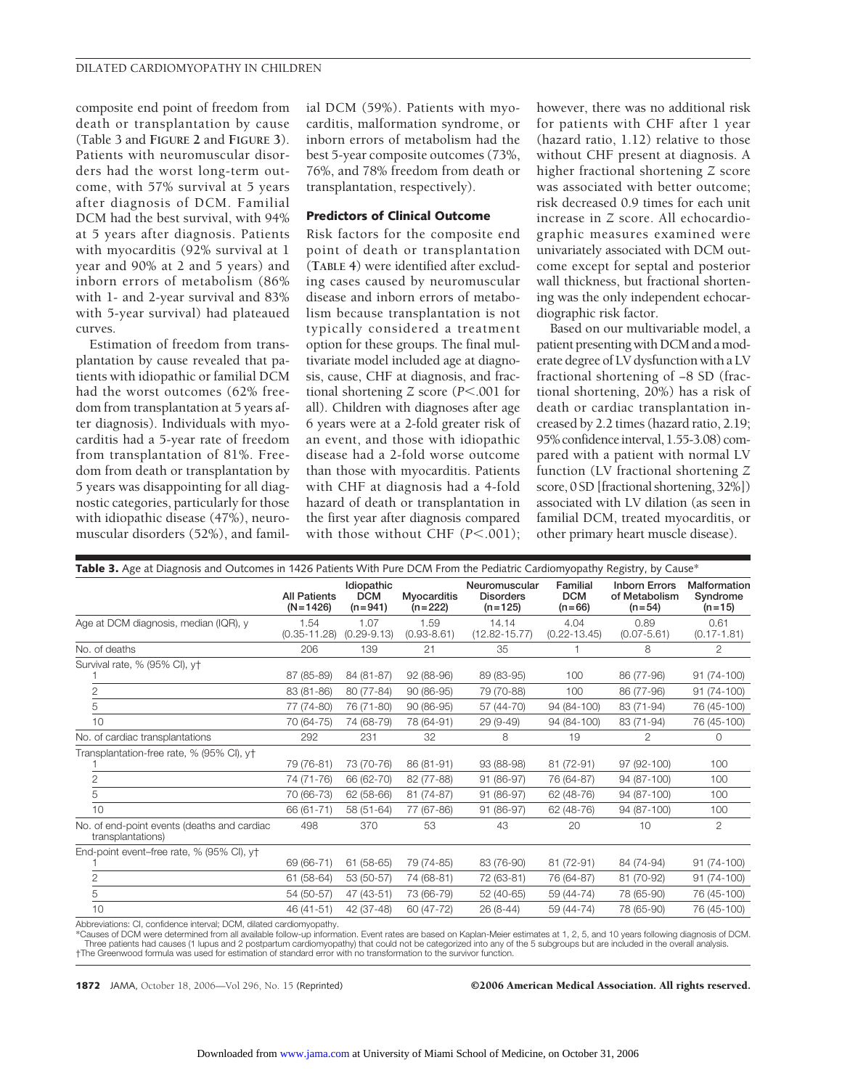composite end point of freedom from death or transplantation by cause (Table 3 and **FIGURE 2** and **FIGURE 3**). Patients with neuromuscular disorders had the worst long-term outcome, with 57% survival at 5 years after diagnosis of DCM. Familial DCM had the best survival, with 94% at 5 years after diagnosis. Patients with myocarditis (92% survival at 1 year and 90% at 2 and 5 years) and inborn errors of metabolism (86% with 1- and 2-year survival and 83% with 5-year survival) had plateaued curves.

Estimation of freedom from transplantation by cause revealed that patients with idiopathic or familial DCM had the worst outcomes (62% freedom from transplantation at 5 years after diagnosis). Individuals with myocarditis had a 5-year rate of freedom from transplantation of 81%. Freedom from death or transplantation by 5 years was disappointing for all diagnostic categories, particularly for those with idiopathic disease (47%), neuromuscular disorders (52%), and familial DCM (59%). Patients with myocarditis, malformation syndrome, or inborn errors of metabolism had the best 5-year composite outcomes (73%, 76%, and 78% freedom from death or transplantation, respectively).

## **Predictors of Clinical Outcome**

Risk factors for the composite end point of death or transplantation (**TABLE 4**) were identified after excluding cases caused by neuromuscular disease and inborn errors of metabolism because transplantation is not typically considered a treatment option for these groups. The final multivariate model included age at diagnosis, cause, CHF at diagnosis, and fractional shortening *Z* score (*P*<.001 for all). Children with diagnoses after age 6 years were at a 2-fold greater risk of an event, and those with idiopathic disease had a 2-fold worse outcome than those with myocarditis. Patients with CHF at diagnosis had a 4-fold hazard of death or transplantation in the first year after diagnosis compared with those without CHF  $(P<.001)$ ; however, there was no additional risk for patients with CHF after 1 year (hazard ratio, 1.12) relative to those without CHF present at diagnosis. A higher fractional shortening *Z* score was associated with better outcome; risk decreased 0.9 times for each unit increase in *Z* score. All echocardiographic measures examined were univariately associated with DCM outcome except for septal and posterior wall thickness, but fractional shortening was the only independent echocardiographic risk factor.

Based on our multivariable model, a patient presenting with DCM and a moderate degree of LV dysfunction with a LV fractional shortening of −8 SD (fractional shortening, 20%) has a risk of death or cardiac transplantation increased by 2.2 times (hazard ratio, 2.19; 95% confidence interval, 1.55-3.08) compared with a patient with normal LV function (LV fractional shortening *Z* score, 0 SD [fractional shortening, 32%]) associated with LV dilation (as seen in familial DCM, treated myocarditis, or other primary heart muscle disease).

| Table 3. Age at Diagnosis and Outcomes in 1426 Patients With Pure DCM From the Pediatric Cardiomyopathy Registry, by Cause* |                                     |                                       |                                 |                                                |                                    |                                                   |                                      |
|-----------------------------------------------------------------------------------------------------------------------------|-------------------------------------|---------------------------------------|---------------------------------|------------------------------------------------|------------------------------------|---------------------------------------------------|--------------------------------------|
|                                                                                                                             | <b>All Patients</b><br>$(N = 1426)$ | Idiopathic<br><b>DCM</b><br>$(n=941)$ | <b>Myocarditis</b><br>$(n=222)$ | Neuromuscular<br><b>Disorders</b><br>$(n=125)$ | Familial<br><b>DCM</b><br>$(n=66)$ | <b>Inborn Errors</b><br>of Metabolism<br>$(n=54)$ | Malformation<br>Syndrome<br>$(n=15)$ |
| Age at DCM diagnosis, median (IQR), y                                                                                       | 1.54<br>$(0.35 - 11.28)$            | 1.07<br>$(0.29 - 9.13)$               | 1.59<br>$(0.93 - 8.61)$         | 14.14<br>$(12.82 - 15.77)$                     | 4.04<br>$(0.22 - 13.45)$           | 0.89<br>$(0.07 - 5.61)$                           | 0.61<br>$(0.17 - 1.81)$              |
| No. of deaths                                                                                                               | 206                                 | 139                                   | 21                              | 35                                             |                                    | 8                                                 | $\overline{2}$                       |
| Survival rate, % (95% CI), y†                                                                                               | 87 (85-89)                          | 84 (81-87)                            | 92 (88-96)                      | 89 (83-95)                                     | 100                                | 86 (77-96)                                        | 91 (74-100)                          |
| 2                                                                                                                           | 83 (81-86)                          | 80 (77-84)                            | 90 (86-95)                      | 79 (70-88)                                     | 100                                | 86 (77-96)                                        | 91 (74-100)                          |
| 5                                                                                                                           | 77 (74-80)                          | 76 (71-80)                            | 90 (86-95)                      | 57 (44-70)                                     | 94 (84-100)                        | 83 (71-94)                                        | 76 (45-100)                          |
| 10                                                                                                                          | 70 (64-75)                          | 74 (68-79)                            | 78 (64-91)                      | 29 (9-49)                                      | 94 (84-100)                        | 83 (71-94)                                        | 76 (45-100)                          |
| No. of cardiac transplantations                                                                                             | 292                                 | 231                                   | 32                              | 8                                              | 19                                 | $\overline{2}$                                    | 0                                    |
| Transplantation-free rate, % (95% CI), y†                                                                                   | 79 (76-81)                          | 73 (70-76)                            | 86 (81-91)                      | 93 (88-98)                                     | 81 (72-91)                         | 97 (92-100)                                       | 100                                  |
| 2                                                                                                                           | 74 (71-76)                          | 66 (62-70)                            | 82 (77-88)                      | 91 (86-97)                                     | 76 (64-87)                         | 94 (87-100)                                       | 100                                  |
| 5                                                                                                                           | 70 (66-73)                          | 62 (58-66)                            | 81 (74-87)                      | 91 (86-97)                                     | 62 (48-76)                         | 94 (87-100)                                       | 100                                  |
| 10                                                                                                                          | 66 (61-71)                          | 58 (51-64)                            | 77 (67-86)                      | 91 (86-97)                                     | 62 (48-76)                         | 94 (87-100)                                       | 100                                  |
| No. of end-point events (deaths and cardiac<br>transplantations)                                                            | 498                                 | 370                                   | 53                              | 43                                             | 20                                 | 10                                                | $\overline{2}$                       |
| End-point event-free rate, % (95% CI), y†                                                                                   |                                     |                                       |                                 |                                                |                                    |                                                   |                                      |
|                                                                                                                             | 69 (66-71)                          | $61(58-65)$                           | 79 (74-85)                      | 83 (76-90)                                     | 81 (72-91)                         | 84 (74-94)                                        | 91 (74-100)                          |
| 2                                                                                                                           | 61 (58-64)                          | 53 (50-57)                            | 74 (68-81)                      | 72 (63-81)                                     | 76 (64-87)                         | 81 (70-92)                                        | 91 (74-100)                          |
| 5                                                                                                                           | 54 (50-57)                          | 47 (43-51)                            | 73 (66-79)                      | 52 (40-65)                                     | 59 (44-74)                         | 78 (65-90)                                        | 76 (45-100)                          |
| 10                                                                                                                          | 46 (41-51)                          | 42 (37-48)                            | 60 (47-72)                      | 26 (8-44)                                      | 59 (44-74)                         | 78 (65-90)                                        | 76 (45-100)                          |
|                                                                                                                             |                                     |                                       |                                 |                                                |                                    |                                                   |                                      |

Abbreviations: CI, confidence interval; DCM, dilated cardiomyopathy.

\*Causes of DCM were determined from all available follow-up information. Event rates are based on Kaplan-Meier estimates at 1, 2, 5, and 10 years following diagnosis of DCM. Three patients had causes (1 lupus and 2 postpartum cardiomyopathy) that could not be categorized into any of the 5 subgroups but are included in the overall analysis. †The Greenwood formula was used for estimation of standard error with no transformation to the survivor function.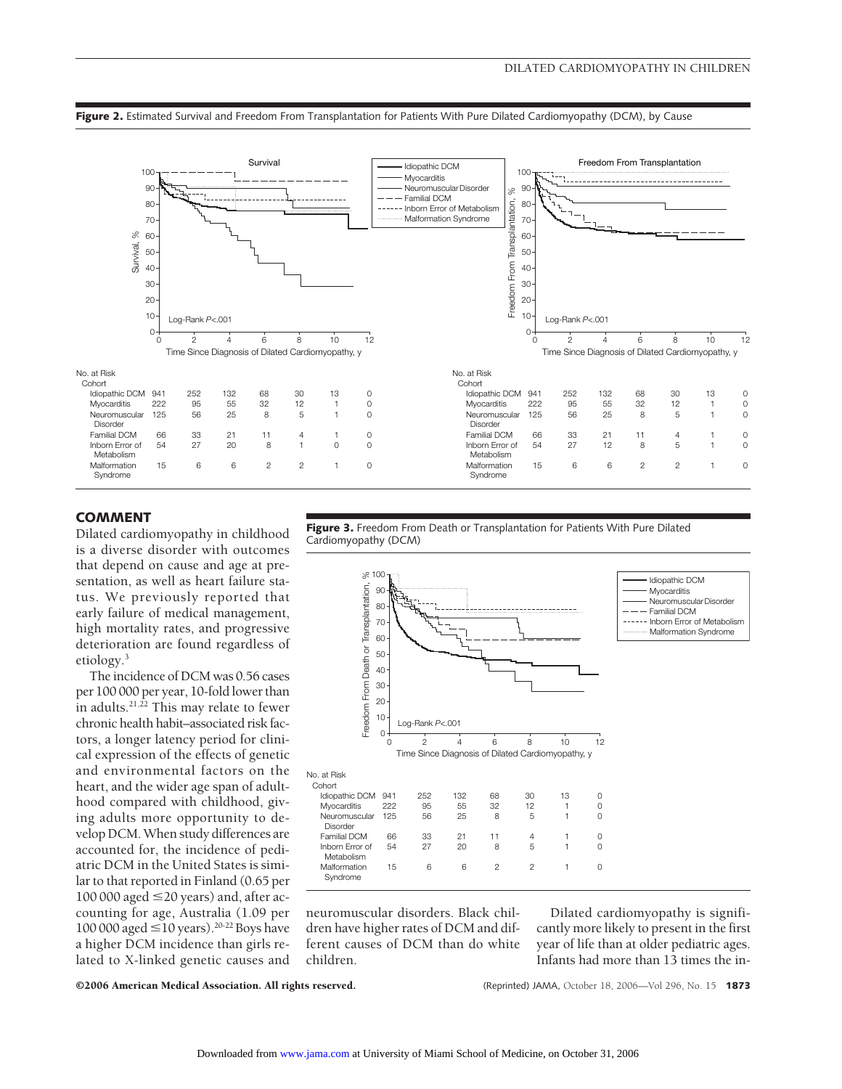

**Figure 2.** Estimated Survival and Freedom From Transplantation for Patients With Pure Dilated Cardiomyopathy (DCM), by Cause

## **COMMENT**

Dilated cardiomyopathy in childhood is a diverse disorder with outcomes that depend on cause and age at presentation, as well as heart failure status. We previously reported that early failure of medical management, high mortality rates, and progressive deterioration are found regardless of etiology.3

The incidence of DCM was 0.56 cases per 100 000 per year, 10-fold lower than in adults.<sup>21,22</sup> This may relate to fewer chronic health habit–associated risk factors, a longer latency period for clinical expression of the effects of genetic and environmental factors on the heart, and the wider age span of adulthood compared with childhood, giving adults more opportunity to develop DCM. When study differences are accounted for, the incidence of pediatric DCM in the United States is similar to that reported in Finland (0.65 per 100 000 aged  $\leq$  20 years) and, after accounting for age, Australia (1.09 per 100 000 aged  $\leq$  10 years).<sup>20-22</sup> Boys have a higher DCM incidence than girls related to X-linked genetic causes and





neuromuscular disorders. Black children have higher rates of DCM and different causes of DCM than do white children.

Dilated cardiomyopathy is significantly more likely to present in the first year of life than at older pediatric ages. Infants had more than 13 times the in-

Idiopathic DCM Myocarditis Neuromuscular Disorder --- Inborn Error of Metabolism Malformation Syndrome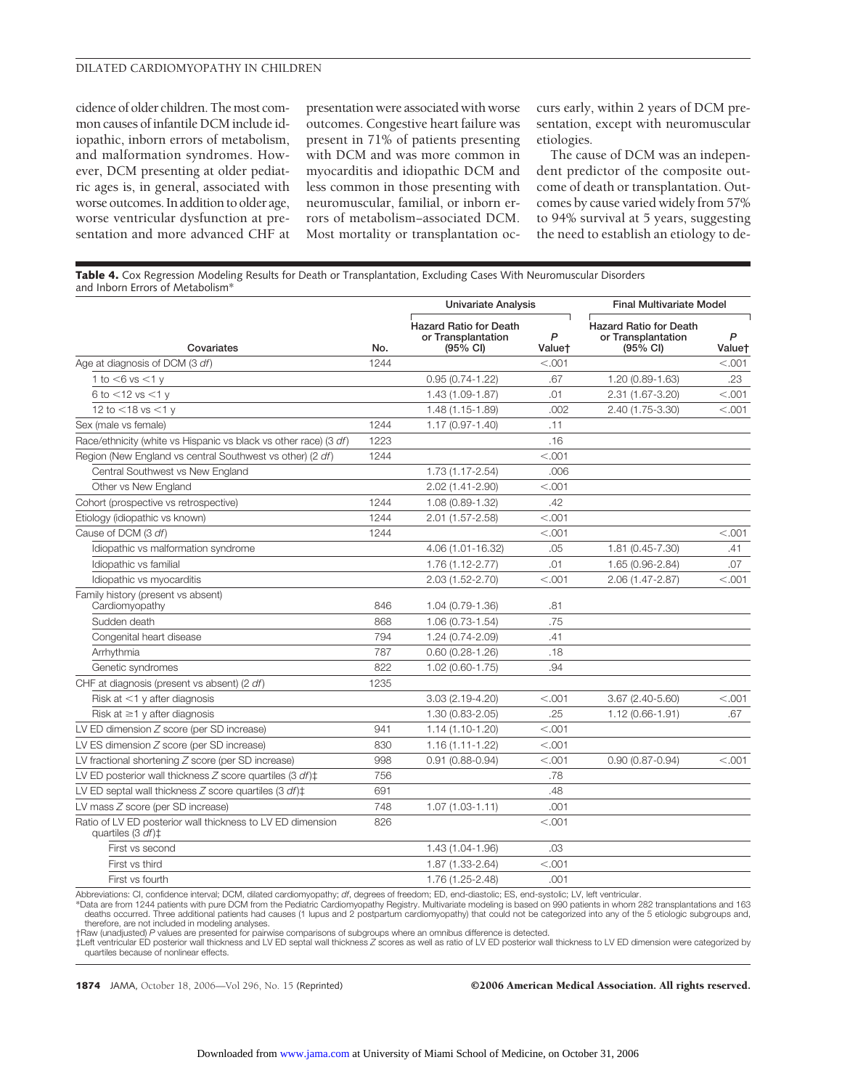#### DILATED CARDIOMYOPATHY IN CHILDREN

cidence of older children. The most common causes of infantile DCM include idiopathic, inborn errors of metabolism, and malformation syndromes. However, DCM presenting at older pediatric ages is, in general, associated with worse outcomes. In addition to older age, worse ventricular dysfunction at presentation and more advanced CHF at presentation were associated with worse outcomes. Congestive heart failure was present in 71% of patients presenting with DCM and was more common in myocarditis and idiopathic DCM and less common in those presenting with neuromuscular, familial, or inborn errors of metabolism−associated DCM. Most mortality or transplantation occurs early, within 2 years of DCM presentation, except with neuromuscular etiologies.

The cause of DCM was an independent predictor of the composite outcome of death or transplantation. Outcomes by cause varied widely from 57% to 94% survival at 5 years, suggesting the need to establish an etiology to de-

**Table 4.** Cox Regression Modeling Results for Death or Transplantation, Excluding Cases With Neuromuscular Disorders and Inborn Errors of Metabolism\*

|                                                                                              |      | <b>Univariate Analysis</b>                                                |             | <b>Final Multivariate Model</b>                                           |             |  |
|----------------------------------------------------------------------------------------------|------|---------------------------------------------------------------------------|-------------|---------------------------------------------------------------------------|-------------|--|
| Covariates                                                                                   |      | <b>Hazard Ratio for Death</b><br>or Transplantation<br>$(95% \text{ Cl})$ | P<br>Valuet | <b>Hazard Ratio for Death</b><br>or Transplantation<br>$(95% \text{ Cl})$ | P<br>Valuet |  |
| Age at diagnosis of DCM (3 df)                                                               | 1244 |                                                                           | < 0.001     |                                                                           | < 0.001     |  |
| 1 to $<$ 6 vs $<$ 1 y                                                                        |      | $0.95(0.74 - 1.22)$                                                       | .67         | 1.20 (0.89-1.63)                                                          | .23         |  |
| 6 to $<$ 12 vs $<$ 1 y                                                                       |      | 1.43 (1.09-1.87)                                                          | .01         | 2.31 (1.67-3.20)                                                          | < 0.001     |  |
| 12 to $<$ 18 vs $<$ 1 v                                                                      |      | 1.48 (1.15-1.89)                                                          | .002        | 2.40 (1.75-3.30)                                                          | < 0.001     |  |
| Sex (male vs female)                                                                         | 1244 | $1.17(0.97 - 1.40)$                                                       | .11         |                                                                           |             |  |
| Race/ethnicity (white vs Hispanic vs black vs other race) (3 df)                             | 1223 |                                                                           | .16         |                                                                           |             |  |
| Region (New England vs central Southwest vs other) (2 df)                                    | 1244 |                                                                           | < .001      |                                                                           |             |  |
| Central Southwest vs New England                                                             |      | 1.73 (1.17-2.54)                                                          | .006        |                                                                           |             |  |
| Other vs New England                                                                         |      | 2.02 (1.41-2.90)                                                          | < .001      |                                                                           |             |  |
| Cohort (prospective vs retrospective)                                                        | 1244 | 1.08 (0.89-1.32)                                                          | .42         |                                                                           |             |  |
| Etiology (idiopathic vs known)                                                               | 1244 | 2.01 (1.57-2.58)                                                          | < 0.001     |                                                                           |             |  |
| Cause of DCM (3 df)                                                                          | 1244 |                                                                           | < 0.001     |                                                                           | < 0.001     |  |
| Idiopathic vs malformation syndrome                                                          |      | 4.06 (1.01-16.32)                                                         | .05         | 1.81 (0.45-7.30)                                                          | .41         |  |
| Idiopathic vs familial                                                                       |      | $1.76(1.12 - 2.77)$                                                       | .01         | 1.65 (0.96-2.84)                                                          | .07         |  |
| Idiopathic vs myocarditis                                                                    |      | 2.03 (1.52-2.70)                                                          | < .001      | 2.06 (1.47-2.87)                                                          | < .001      |  |
| Family history (present vs absent)<br>Cardiomyopathy                                         | 846  | 1.04 (0.79-1.36)                                                          | .81         |                                                                           |             |  |
| Sudden death                                                                                 | 868  | 1.06 (0.73-1.54)                                                          | .75         |                                                                           |             |  |
| Congenital heart disease                                                                     | 794  | 1.24 (0.74-2.09)                                                          | .41         |                                                                           |             |  |
| Arrhythmia                                                                                   | 787  | $0.60(0.28 - 1.26)$                                                       | .18         |                                                                           |             |  |
| Genetic syndromes                                                                            | 822  | $1.02(0.60 - 1.75)$                                                       | .94         |                                                                           |             |  |
| CHF at diagnosis (present vs absent) (2 df)                                                  | 1235 |                                                                           |             |                                                                           |             |  |
| Risk at $<$ 1 y after diagnosis                                                              |      | 3.03 (2.19-4.20)                                                          | < 0.001     | 3.67 (2.40-5.60)                                                          | < 0.001     |  |
| Risk at $\geq$ 1 y after diagnosis                                                           |      | 1.30 (0.83-2.05)                                                          | .25         | 1.12 (0.66-1.91)                                                          | .67         |  |
| LV ED dimension Z score (per SD increase)                                                    | 941  | $1.14(1.10-1.20)$                                                         | < .001      |                                                                           |             |  |
| LV ES dimension Z score (per SD increase)                                                    | 830  | $1.16(1.11 - 1.22)$                                                       | < 0.001     |                                                                           |             |  |
| LV fractional shortening Z score (per SD increase)                                           | 998  | $0.91(0.88 - 0.94)$                                                       | < .001      | $0.90(0.87 - 0.94)$                                                       | < .001      |  |
| LV ED posterior wall thickness Z score quartiles (3 $df$ ) $\ddagger$                        | 756  |                                                                           | .78         |                                                                           |             |  |
| LV ED septal wall thickness $Z$ score quartiles (3 $df$ ) $\ddagger$                         | 691  |                                                                           | .48         |                                                                           |             |  |
| LV mass Z score (per SD increase)                                                            | 748  | $1.07(1.03 - 1.11)$                                                       | .001        |                                                                           |             |  |
| Ratio of LV ED posterior wall thickness to LV ED dimension<br>quartiles (3 $df$ ) $\ddagger$ | 826  |                                                                           | < .001      |                                                                           |             |  |
| First vs second                                                                              |      | 1.43 (1.04-1.96)                                                          | .03         |                                                                           |             |  |
| First vs third                                                                               |      | 1.87 (1.33-2.64)                                                          | < .001      |                                                                           |             |  |
| First vs fourth                                                                              |      | 1.76 (1.25-2.48)                                                          | .001        |                                                                           |             |  |

Abbreviations: CI, confidence interval; DCM, dilated cardiomyopathy; *df*, degrees of freedom; ED, end-diastolic; ES, end-systolic; LV, left ventricular.<br>\*Data are from 1244 patients with pure DCM from the Pediatric Cardio

deaths occurred. Three additional patients had causes (1 lupus and 2 postpartum cardiomyopathy) that could not be categorized into any of the 5 etiologic subgroups and, therefore, are not included in modeling analyses.

†Raw (unadjusted) *P* values are presented for pairwise comparisons of subgroups where an omnibus difference is detected.

‡Left ventricular ED posterior wall thickness and LV ED septal wall thickness *Z* scores as well as ratio of LV ED posterior wall thickness to LV ED dimension were categorized by quartiles because of nonlinear effects.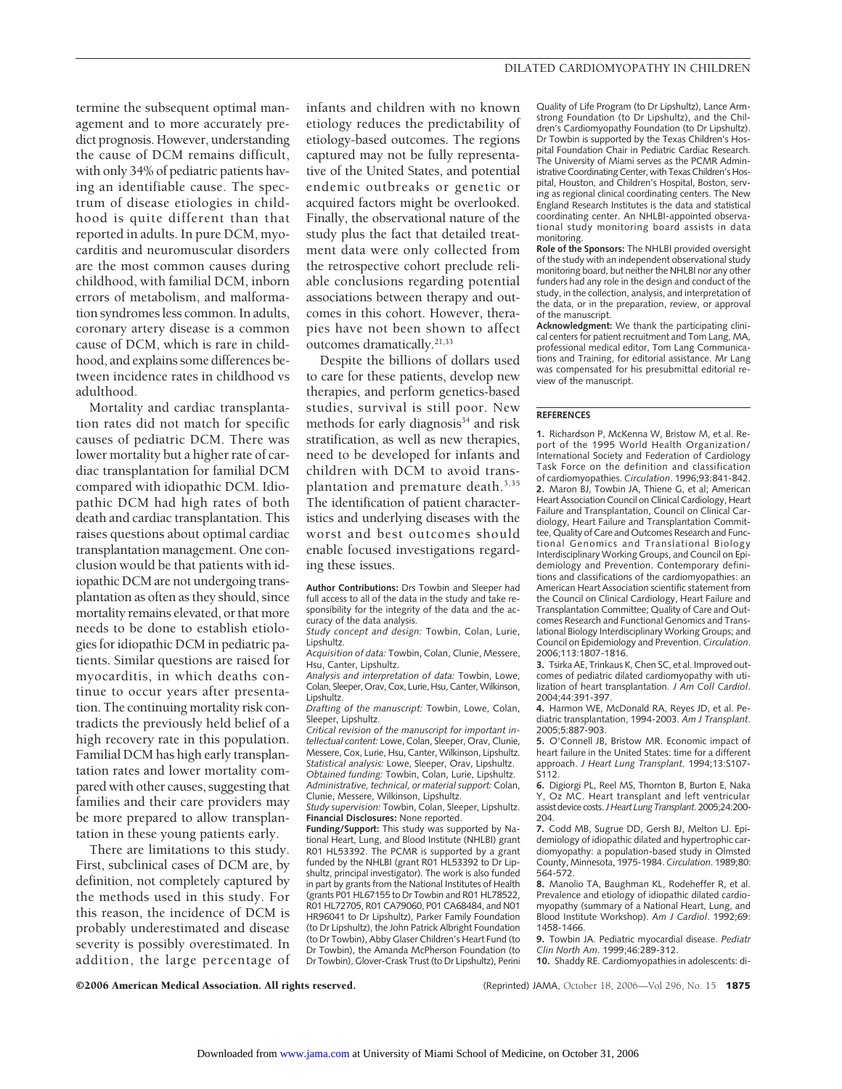termine the subsequent optimal management and to more accurately predict prognosis. However, understanding the cause of DCM remains difficult, with only 34% of pediatric patients having an identifiable cause. The spectrum of disease etiologies in childhood is quite different than that reported in adults. In pure DCM, myocarditis and neuromuscular disorders are the most common causes during childhood, with familial DCM, inborn errors of metabolism, and malformation syndromes less common. In adults, coronary artery disease is a common cause of DCM, which is rare in childhood, and explains some differences between incidence rates in childhood vs adulthood.

Mortality and cardiac transplantation rates did not match for specific causes of pediatric DCM. There was lower mortality but a higher rate of cardiac transplantation for familial DCM compared with idiopathic DCM. Idiopathic DCM had high rates of both death and cardiac transplantation. This raises questions about optimal cardiac transplantation management. One conclusion would be that patients with idiopathic DCM are not undergoing transplantation as often as they should, since mortality remains elevated, or that more needs to be done to establish etiologies for idiopathic DCM in pediatric patients. Similar questions are raised for myocarditis, in which deaths continue to occur years after presentation. The continuing mortality risk contradicts the previously held belief of a high recovery rate in this population. Familial DCM has high early transplantation rates and lower mortality compared with other causes, suggesting that families and their care providers may be more prepared to allow transplantation in these young patients early.

There are limitations to this study. First, subclinical cases of DCM are, by definition, not completely captured by the methods used in this study. For this reason, the incidence of DCM is probably underestimated and disease severity is possibly overestimated. In addition, the large percentage of infants and children with no known etiology reduces the predictability of etiology-based outcomes. The regions captured may not be fully representative of the United States, and potential endemic outbreaks or genetic or acquired factors might be overlooked. Finally, the observational nature of the study plus the fact that detailed treatment data were only collected from the retrospective cohort preclude reliable conclusions regarding potential associations between therapy and outcomes in this cohort. However, therapies have not been shown to affect outcomes dramatically.<sup>21,33</sup>

Despite the billions of dollars used to care for these patients, develop new therapies, and perform genetics-based studies, survival is still poor. New methods for early diagnosis<sup>34</sup> and risk stratification, as well as new therapies, need to be developed for infants and children with DCM to avoid transplantation and premature death.<sup>3,35</sup> The identification of patient characteristics and underlying diseases with the worst and best outcomes should enable focused investigations regarding these issues.

**Author Contributions:** Drs Towbin and Sleeper had full access to all of the data in the study and take responsibility for the integrity of the data and the accuracy of the data analysis.

*Study concept and design:* Towbin, Colan, Lurie, Lipshultz.

*Acquisition of data:* Towbin, Colan, Clunie, Messere, Hsu, Canter, Lipshultz.

*Analysis and interpretation of data:* Towbin, Lowe, Colan, Sleeper, Orav, Cox, Lurie, Hsu, Canter,Wilkinson, Lipshultz.

*Drafting of the manuscript:* Towbin, Lowe, Colan, Sleeper, Lipshultz.

*Critical revision of the manuscript for important intellectual content:* Lowe, Colan, Sleeper, Orav, Clunie, Messere, Cox, Lurie, Hsu, Canter, Wilkinson, Lipshultz. *Statistical analysis:* Lowe, Sleeper, Orav, Lipshultz. *Obtained funding:* Towbin, Colan, Lurie, Lipshultz. *Administrative, technical, or material support:* Colan,

Clunie, Messere, Wilkinson, Lipshultz. *Study supervision:* Towbin, Colan, Sleeper, Lipshultz.

**Financial Disclosures:** None reported.

**Funding/Support:** This study was supported by National Heart, Lung, and Blood Institute (NHLBI) grant R01 HL53392. The PCMR is supported by a grant funded by the NHLBI (grant R01 HL53392 to Dr Lipshultz, principal investigator). The work is also funded in part by grants from the National Institutes of Health (grants P01 HL67155 to Dr Towbin and R01 HL78522, R01 HL72705, R01 CA79060, P01 CA68484, and N01 HR96041 to Dr Lipshultz), Parker Family Foundation (to Dr Lipshultz), the John Patrick Albright Foundation (to Dr Towbin), Abby Glaser Children's Heart Fund (to Dr Towbin), the Amanda McPherson Foundation (to Dr Towbin), Glover-Crask Trust (to Dr Lipshultz), Perini

#### DILATED CARDIOMYOPATHY IN CHILDREN

Quality of Life Program (to Dr Lipshultz), Lance Armstrong Foundation (to Dr Lipshultz), and the Children's Cardiomyopathy Foundation (to Dr Lipshultz). Dr Towbin is supported by the Texas Children's Hospital Foundation Chair in Pediatric Cardiac Research. The University of Miami serves as the PCMR Administrative Coordinating Center, with Texas Children's Hospital, Houston, and Children's Hospital, Boston, serving as regional clinical coordinating centers. The New England Research Institutes is the data and statistical coordinating center. An NHLBI-appointed observational study monitoring board assists in data monitoring.

**Role of the Sponsors:** The NHLBI provided oversight of the study with an independent observational study monitoring board, but neither the NHLBI nor any other funders had any role in the design and conduct of the study, in the collection, analysis, and interpretation of the data, or in the preparation, review, or approval of the manuscript.

**Acknowledgment:** We thank the participating clinical centers for patient recruitment and Tom Lang, MA, professional medical editor, Tom Lang Communications and Training, for editorial assistance. Mr Lang was compensated for his presubmittal editorial review of the manuscript.

#### **REFERENCES**

**1.** Richardson P, McKenna W, Bristow M, et al. Report of the 1995 World Health Organization/ International Society and Federation of Cardiology Task Force on the definition and classification of cardiomyopathies. *Circulation*. 1996;93:841-842. **2.** Maron BJ, Towbin JA, Thiene G, et al; American Heart Association Council on Clinical Cardiology, Heart Failure and Transplantation, Council on Clinical Cardiology, Heart Failure and Transplantation Committee, Quality of Care and Outcomes Research and Functional Genomics and Translational Biology Interdisciplinary Working Groups, and Council on Epidemiology and Prevention. Contemporary definitions and classifications of the cardiomyopathies: an American Heart Association scientific statement from the Council on Clinical Cardiology, Heart Failure and Transplantation Committee; Quality of Care and Outcomes Research and Functional Genomics and Translational Biology Interdisciplinary Working Groups; and Council on Epidemiology and Prevention. *Circulation*. 2006;113:1807-1816.

**3.** Tsirka AE, Trinkaus K, Chen SC, et al. Improved outcomes of pediatric dilated cardiomyopathy with utilization of heart transplantation. *J Am Coll Cardiol*. 2004;44:391-397.

**4.** Harmon WE, McDonald RA, Reyes JD, et al. Pediatric transplantation, 1994-2003. *Am J Transplant*. 2005;5:887-903.

**5.** O'Connell JB, Bristow MR. Economic impact of heart failure in the United States: time for a different approach. *J Heart Lung Transplant*. 1994;13:S107- S112.

**6.** Digiorgi PL, Reel MS, Thornton B, Burton E, Naka Y, Oz MC. Heart transplant and left ventricular assist device costs.*J Heart Lung Transplant*. 2005;24:200- 204.

**7.** Codd MB, Sugrue DD, Gersh BJ, Melton LJ. Epidemiology of idiopathic dilated and hypertrophic cardiomyopathy: a population-based study in Olmsted County, Minnesota, 1975-1984. *Circulation*. 1989;80: 564-572.

**8.** Manolio TA, Baughman KL, Rodeheffer R, et al. Prevalence and etiology of idiopathic dilated cardiomyopathy (summary of a National Heart, Lung, and Blood Institute Workshop). *Am J Cardiol*. 1992;69: 1458-1466.

**9.** Towbin JA. Pediatric myocardial disease. *Pediatr Clin North Am*. 1999;46:289-312.

**10.** Shaddy RE. Cardiomyopathies in adolescents: di-